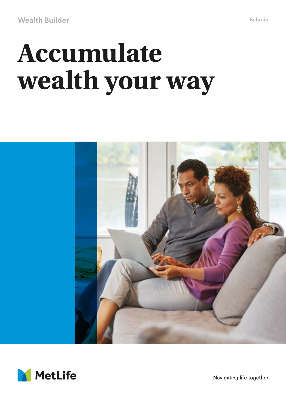# **Accumulate wealth your way**





Navigating life together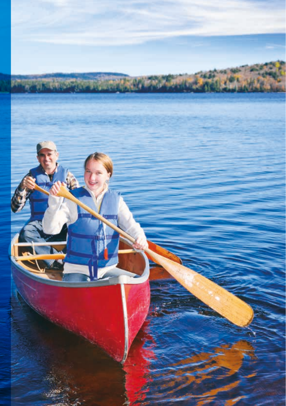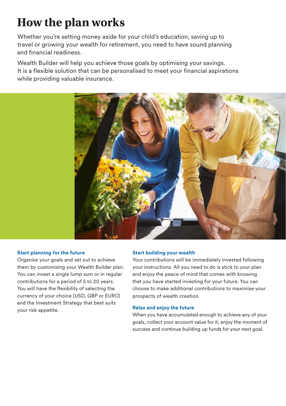## **How the plan works**

Whether you're setting money aside for your child's education, saving up to travel or growing your wealth for retirement, you need to have sound planning and financial readiness.

Wealth Builder will help you achieve those goals by optimising your savings. It is a flexible solution that can be personalised to meet your financial aspirations while providing valuable insurance.



#### **Start planning for the future**

Organise your goals and set out to achieve them by customising your Wealth Builder plan. You can invest a single lump sum or in regular contributions for a period of 5 to 20 years. You will have the flexibility of selecting the currency of your choice (USD, GBP or EURO) and the Investment Strategy that best suits your risk appetite.

#### **Start building your wealth**

Your contributions will be immediately invested following your instructions. All you need to do is stick to your plan and enjoy the peace of mind that comes with knowing that you have started investing for your future. You can choose to make additional contributions to maximise your prospects of wealth creation.

#### **Relax and enjoy the future**

When you have accumulated enough to achieve any of your goals, collect your account value for it, enjoy the moment of success and continue building up funds for your next goal.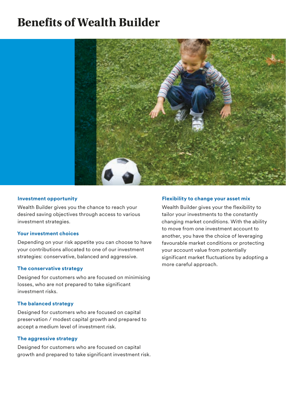### **Benefits of Wealth Builder**



#### **Investment opportunity**

Wealth Builder gives you the chance to reach your desired saving objectives through access to various investment strategies.

#### **Your investment choices**

Depending on your risk appetite you can choose to have your contributions allocated to one of our investment strategies: conservative, balanced and aggressive.

#### **The conservative strategy**

Designed for customers who are focused on minimising losses, who are not prepared to take significant investment risks.

#### **The balanced strategy**

Designed for customers who are focused on capital preservation / modest capital growth and prepared to accept a medium level of investment risk.

#### **The aggressive strategy**

Designed for customers who are focused on capital growth and prepared to take significant investment risk.

#### **Flexibility to change your asset mix**

Wealth Builder gives your the flexibility to tailor your investments to the constantly changing market conditions. With the ability to move from one investment account to another, you have the choice of leveraging favourable market conditions or protecting your account value from potentially significant market fluctuations by adopting a more careful approach.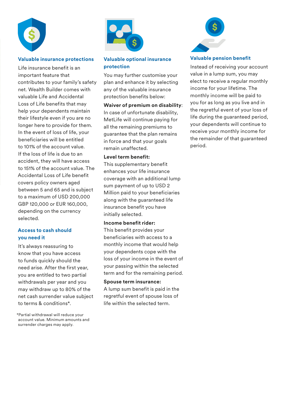

#### **Valuable insurance protections**

Life insurance benefit is an important feature that contributes to your family's safety net. Wealth Builder comes with valuable Life and Accidental Loss of Life benefits that may help your dependents maintain their lifestyle even if you are no longer here to provide for them. In the event of loss of life, your beneficiaries will be entitled to 101% of the account value. If the loss of life is due to an accident, they will have access to 151% of the account value. The Accidental Loss of Life benefit covers policy owners aged between 5 and 65 and is subject to a maximum of USD 200,000 GBP 120,000 or EUR 160,000, depending on the currency selected.

#### **Access to cash should you need it**

It's always reassuring to know that you have access to funds quickly should the need arise. After the first year, you are entitled to two partial withdrawals per year and you may withdraw up to 80% of the net cash surrender value subject to terms & conditions\*.

\*Partial withdrawal will reduce your account value. Minimum amounts and surrender charges may apply.



#### **Valuable optional insurance protection**

You may further customise your plan and enhance it by selecting any of the valuable insurance protection benefits below:

**Waiver of premium on disability**: In case of unfortunate disability, MetLife will continue paying for all the remaining premiums to guarantee that the plan remains in force and that your goals remain unaffected.

#### **Level term benefit:**

This supplementary benefit enhances your life insurance coverage with an additional lump sum payment of up to USD 2 Million paid to your beneficiaries along with the guaranteed life insurance benefit you have initially selected.

#### **Income benefit rider:**

This benefit provides your beneficiaries with access to a monthly income that would help your dependents cope with the loss of your income in the event of your passing within the selected term and for the remaining period.

#### **Spouse term insurance:**

A lump sum benefit is paid in the regretful event of spouse loss of life within the selected term.



#### **Valuable pension benefit**

Instead of receiving your account value in a lump sum, you may elect to receive a regular monthly income for your lifetime. The monthly income will be paid to you for as long as you live and in the regretful event of your loss of life during the guaranteed period, your dependents will continue to receive your monthly income for the remainder of that guaranteed period.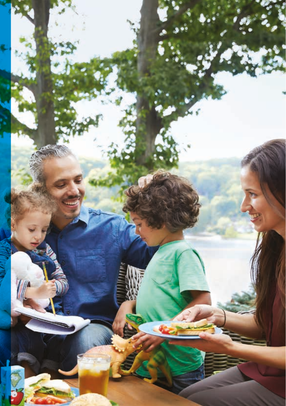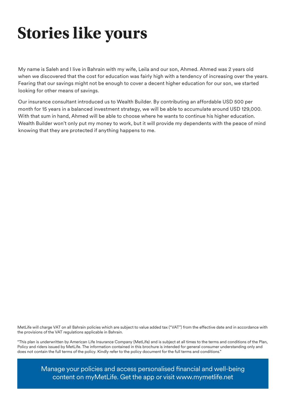## **Stories like yours**

My name is Saleh and I live in Bahrain with my wife, Leila and our son, Ahmed. Ahmed was 2 years old when we discovered that the cost for education was fairly high with a tendency of increasing over the years. Fearing that our savings might not be enough to cover a decent higher education for our son, we started looking for other means of savings.

Our insurance consultant introduced us to Wealth Builder. By contributing an affordable USD 500 per month for 15 years in a balanced investment strategy, we will be able to accumulate around USD 129,000. With that sum in hand, Ahmed will be able to choose where he wants to continue his higher education. Wealth Builder won't only put my money to work, but it will provide my dependents with the peace of mind knowing that they are protected if anything happens to me.

MetLife will charge VAT on all Bahrain policies which are subject to value added tax ("VAT") from the effective date and in accordance with the provisions of the VAT regulations applicable in Bahrain.

"This plan is underwritten by American Life Insurance Company (MetLife) and is subject at all times to the terms and conditions of the Plan, Policy and riders issued by MetLife. The information contained in this brochure is intended for general consumer understanding only and does not contain the full terms of the policy. Kindly refer to the policy document for the full terms and conditions."

Manage your policies and access personalised financial and well-being content on myMetLife. Get the app or visit www.mymetlife.net